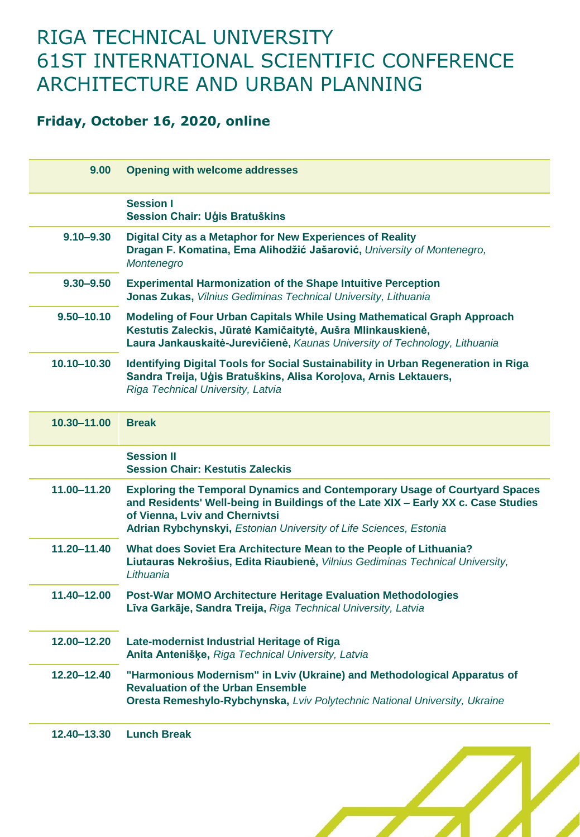## RIGA TECHNICAL UNIVERSITY 61ST INTERNATIONAL SCIENTIFIC CONFERENCE ARCHITECTURE AND URBAN PLANNING

## **Friday, October 16, 2020, online**

| 9.00           | <b>Opening with welcome addresses</b>                                                                                                                                                                                                                                         |
|----------------|-------------------------------------------------------------------------------------------------------------------------------------------------------------------------------------------------------------------------------------------------------------------------------|
|                | <b>Session I</b><br>Session Chair: Uģis Bratuškins                                                                                                                                                                                                                            |
| $9.10 - 9.30$  | Digital City as a Metaphor for New Experiences of Reality<br>Dragan F. Komatina, Ema Alihodžić Jašarović, University of Montenegro,<br>Montenegro                                                                                                                             |
| $9.30 - 9.50$  | <b>Experimental Harmonization of the Shape Intuitive Perception</b><br>Jonas Zukas, Vilnius Gediminas Technical University, Lithuania                                                                                                                                         |
| $9.50 - 10.10$ | <b>Modeling of Four Urban Capitals While Using Mathematical Graph Approach</b><br>Kestutis Zaleckis, Jūratė Kamičaitytė, Aušra Mlinkauskienė,<br>Laura Jankauskaitė-Jurevičienė, Kaunas University of Technology, Lithuania                                                   |
| 10.10-10.30    | Identifying Digital Tools for Social Sustainability in Urban Regeneration in Riga<br>Sandra Treija, Uģis Bratuškins, Alisa Koroļova, Arnis Lektauers,<br>Riga Technical University, Latvia                                                                                    |
| 10.30-11.00    | <b>Break</b>                                                                                                                                                                                                                                                                  |
|                | <b>Session II</b><br><b>Session Chair: Kestutis Zaleckis</b>                                                                                                                                                                                                                  |
| 11.00-11.20    | <b>Exploring the Temporal Dynamics and Contemporary Usage of Courtyard Spaces</b><br>and Residents' Well-being in Buildings of the Late XIX - Early XX c. Case Studies<br>of Vienna, Lviv and Chernivtsi<br>Adrian Rybchynskyi, Estonian University of Life Sciences, Estonia |
| 11.20-11.40    | What does Soviet Era Architecture Mean to the People of Lithuania?<br>Liutauras Nekrošius, Edita Riaubienė, Vilnius Gediminas Technical University,<br>Lithuania                                                                                                              |
| 11.40-12.00    | <b>Post-War MOMO Architecture Heritage Evaluation Methodologies</b><br>Līva Garkāje, Sandra Treija, Riga Technical University, Latvia                                                                                                                                         |
| 12.00-12.20    | Late-modernist Industrial Heritage of Riga<br>Anita Antenišķe, Riga Technical University, Latvia                                                                                                                                                                              |
| 12.20-12.40    | "Harmonious Modernism" in Lviv (Ukraine) and Methodological Apparatus of<br><b>Revaluation of the Urban Ensemble</b><br>Oresta Remeshylo-Rybchynska, Lviv Polytechnic National University, Ukraine                                                                            |
| 12.40-13.30    | <b>Lunch Break</b>                                                                                                                                                                                                                                                            |